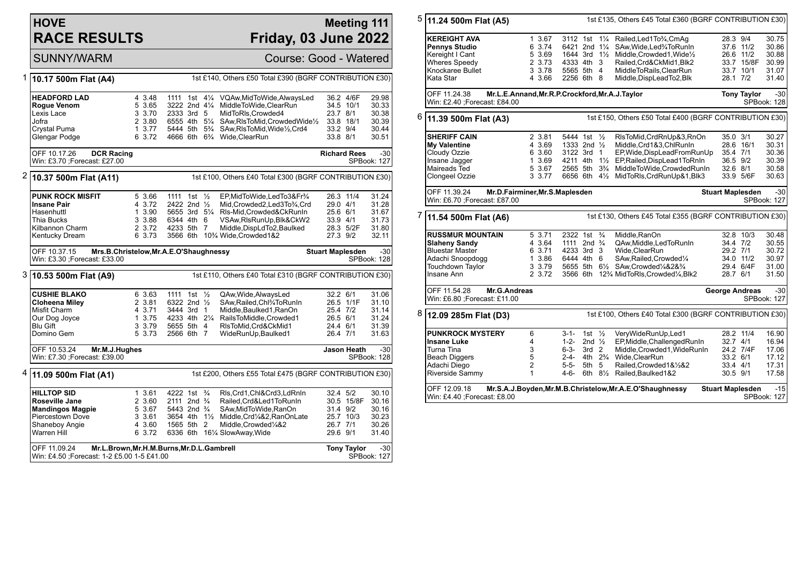## **HOVE RACE RESULTS**

## **Meeting 111 Friday, 03 June 2022**

SUNNY/WARM Course: Good - Watered

| 1 | 1st £140, Others £50 Total £390 (BGRF CONTRIBUTION £30)<br>10.17 500m Flat (A4)                          |  |                            |                                                     |  |  |                                                                                         |                                    |                    |                           |
|---|----------------------------------------------------------------------------------------------------------|--|----------------------------|-----------------------------------------------------|--|--|-----------------------------------------------------------------------------------------|------------------------------------|--------------------|---------------------------|
|   | <b>HEADFORD LAD</b><br><b>Rogue Venom</b><br>Lexis Lace                                                  |  | 4 3.48<br>5 3.65<br>3 3.70 | 1111 1st<br>$3222$ 2nd $4\frac{1}{4}$<br>2333 3rd 5 |  |  | 41/4 VQAw, MidToWide, AlwaysLed<br>MiddleToWide,ClearRun<br>MidToRIs, Crowded4          | 36.2 4/6F<br>34.5 10/1<br>23.7 8/1 |                    | 29.98<br>30.33<br>30.38   |
|   | Jofra                                                                                                    |  | 2 3.80                     | 6555 4th 51/4                                       |  |  | SAw, RIsToMid, Crowded Wide <sup>1</sup> / <sub>2</sub>                                 | 33.8 18/1                          |                    | 30.39                     |
|   | Crystal Puma                                                                                             |  | 1, 3.77                    | 5444 5th 5 <sup>3</sup> / <sub>4</sub>              |  |  | SAw, RIsToMid, Wide <sup>1</sup> / <sub>2</sub> , Crd4                                  | 33.2 9/4                           |                    | 30.44                     |
|   | Glengar Podge                                                                                            |  | 6 3.72                     |                                                     |  |  | 4666 6th 6 <sup>3</sup> / <sub>4</sub> Wide, ClearRun                                   | 33.8 8/1                           |                    | 30.51                     |
|   | OFF 10.17.26<br><b>DCR Racing</b><br>Win: £3.70 ; Forecast: £27.00                                       |  |                            |                                                     |  |  |                                                                                         | <b>Richard Rees</b>                |                    | $-30$<br>SPBook: 127      |
| 2 | 10.37 500m Flat (A11)                                                                                    |  |                            |                                                     |  |  | 1st £100, Others £40 Total £300 (BGRF CONTRIBUTION £30)                                 |                                    |                    |                           |
|   | <b>PUNK ROCK MISFIT</b>                                                                                  |  | 5 3.66                     | 1111 1st 1/2                                        |  |  | EP, MidToWide, LedTo 3& Fr3/4                                                           | 26.3 11/4                          |                    | 31.24                     |
|   | Insane Pair                                                                                              |  | 4 3.72                     | 2422 2nd 1/2                                        |  |  | Mid, Crowded 2, Led 3 To 3/4, Crd                                                       | 29.0 4/1                           |                    | 31.28                     |
|   | Hasenhuttl                                                                                               |  | 1 3.90                     | 5655 3rd 51/4                                       |  |  | RIs-Mid, Crowded&CkRunIn                                                                | 25.6 6/1                           |                    | 31.67                     |
|   | Thia Bucks                                                                                               |  | 3 3.88                     | 6344 4th 6                                          |  |  | VSAw, RIs Run Up, Blk&CkW2                                                              | 33.9 4/1                           |                    | 31.73                     |
|   | Kilbannon Charm                                                                                          |  | 2 3.72<br>6 3.73           | 4233 5th 7                                          |  |  | Middle, DispLdTo2, Baulked<br>3566 6th 10 <sup>3</sup> / <sub>4</sub> Wide, Crowded 1&2 | 28.3 5/2F                          |                    | 31.80<br>32.11            |
|   | Kentucky Dream                                                                                           |  |                            |                                                     |  |  |                                                                                         | 27.3 9/2                           |                    |                           |
|   | OFF 10.37.15<br>Mrs.B.Christelow, Mr.A.E.O'Shaughnessy<br>Win: £3.30 ;Forecast: £33.00                   |  |                            |                                                     |  |  |                                                                                         | <b>Stuart Maplesden</b>            |                    | $-30$<br>SPBook: 128      |
|   | 3 10.53 500m Flat (A9)                                                                                   |  |                            |                                                     |  |  | 1st £110, Others £40 Total £310 (BGRF CONTRIBUTION £30)                                 |                                    |                    |                           |
|   | <b>CUSHIE BLAKO</b>                                                                                      |  | 6 3.63                     | 1111 1st 1/2                                        |  |  | QAw, Wide, AlwaysLed                                                                    | 32.2 6/1                           |                    | 31.06                     |
|   | <b>Cloheena Miley</b>                                                                                    |  | 2 3.81                     | 6322 2nd $\frac{1}{2}$                              |  |  | SAw, Railed, Chl3/4To RunIn                                                             | 26.5 1/1F                          |                    | 31.10                     |
|   | Misfit Charm                                                                                             |  | 4 3.71                     | 3444 3rd 1                                          |  |  | Middle, Baulked1, RanOn                                                                 | 25.4 7/2                           |                    | 31.14                     |
|   | Our Dog Joyce                                                                                            |  | 1 3.75                     | 4233 4th 21/4                                       |  |  | RailsToMiddle,Crowded1                                                                  | 26.5 6/1                           |                    | 31.24                     |
|   | <b>Blu Gift</b>                                                                                          |  | 3 3.79                     | 5655 5th 4                                          |  |  | RIsToMid.Crd&CkMid1                                                                     | 24.4 6/1                           |                    | 31.39                     |
|   | Domino Gem                                                                                               |  | 5 3.73                     | 2566 6th 7                                          |  |  | WideRunUp, Baulked1                                                                     | 26.4 7/1                           |                    | 31.63                     |
|   | OFF 10.53.24<br>Mr.M.J.Hughes<br>Win: £7.30 ; Forecast: £39.00                                           |  |                            |                                                     |  |  |                                                                                         |                                    | Jason Heath        | $-30$<br>SPBook: 128      |
| 4 | 11.09 500m Flat (A1)                                                                                     |  |                            |                                                     |  |  | 1st £200, Others £55 Total £475 (BGRF CONTRIBUTION £30)                                 |                                    |                    |                           |
|   | <b>HILLTOP SID</b>                                                                                       |  | 1 3.61                     | 4222 1st <sup>3</sup> / <sub>4</sub>                |  |  | RIs, Crd1, Chl&Crd3, LdRnIn                                                             | 32.4 5/2                           |                    | 30.10                     |
|   | Roseville Jane                                                                                           |  | 2 3.60                     | 2111 2nd <sup>3</sup> / <sub>4</sub>                |  |  | Railed,Crd&Led1ToRunIn                                                                  |                                    | 30.5 15/8F         | 30.16                     |
|   | <b>Mandingos Magpie</b>                                                                                  |  | 5 3.67                     | 5443 2nd <sup>3</sup> / <sub>4</sub>                |  |  | SAw,MidToWide,RanOn                                                                     | 31.4 9/2                           |                    | 30.16                     |
|   | <b>Piercestown Dove</b>                                                                                  |  | 3 3.61                     | 3654 4th 1½                                         |  |  | Middle, Crd1/4&2, RanOnLate                                                             | 25.7 10/3                          |                    | 30.23                     |
|   | Shaneboy Angie                                                                                           |  | 4 3.60                     | 1565 5th 2                                          |  |  | Middle, Crowded <sup>1</sup> / <sub>4</sub> &2                                          | 26.7 7/1                           |                    | 30.26                     |
|   | Warren Hill                                                                                              |  | 6 3.72                     |                                                     |  |  | 6336 6th 161/4 SlowAway, Wide                                                           | 29.6 9/1                           |                    | 31.40                     |
|   | OFF 11.09.24<br>Mr.L.Brown, Mr.H.M.Burns, Mr.D.L.Gambrell<br>Win: £4.50 ; Forecast: 1-2 £5.00 1-5 £41.00 |  |                            |                                                     |  |  |                                                                                         |                                    | <b>Tony Taylor</b> | -30<br><b>SPBook: 127</b> |

| 5<br>11.24 500m Flat (A5) |                                                                                                |                            |                                                    |                                   |                |                                                                                                                        | 1st £135, Others £45 Total £360 (BGRF CONTRIBUTION £30) |                         |                         |  |
|---------------------------|------------------------------------------------------------------------------------------------|----------------------------|----------------------------------------------------|-----------------------------------|----------------|------------------------------------------------------------------------------------------------------------------------|---------------------------------------------------------|-------------------------|-------------------------|--|
|                           | <b>KEREIGHT AVA</b><br>Pennys Studio<br>Kereight I Cant                                        | 1 3.67<br>6 3.74<br>5 3.69 | 3112 1st<br>6421 2nd 11/4<br>1644 3rd 11/2         |                                   | $1\frac{1}{4}$ | Railed, Led 1 To 3/4, CmAq<br>SAw, Wide, Led <sup>3</sup> / <sub>4</sub> To Run In<br>Middle, Crowded 1, Wide 1/2      | 28.3 9/4                                                | 37.6 11/2<br>26.6 11/2  | 30.75<br>30.86<br>30.88 |  |
|                           | <b>Wheres Speedy</b>                                                                           | 2 3.73                     | 4333 4th                                           |                                   | 3              | Railed, Crd&CkMid1, Blk2                                                                                               |                                                         | 33.7 15/8F              | 30.99                   |  |
|                           | Knockaree Bullet                                                                               | 3 3.78                     | 5565 5th 4                                         |                                   |                | MiddleToRails, ClearRun                                                                                                |                                                         | 33.7 10/1               | 31.07                   |  |
|                           | Kata Star                                                                                      | 4 3.66                     | 2256 6th 8                                         |                                   |                | Middle, DispLeadTo2, Blk                                                                                               | 28.1 7/2                                                |                         | 31.40                   |  |
|                           | OFF 11.24.38<br>Mr.L.E.Annand, Mr.R.P.Crockford, Mr.A.J.Taylor<br>Win: £2.40 ;Forecast: £84.00 |                            |                                                    |                                   |                |                                                                                                                        |                                                         | <b>Tony Taylor</b>      | $-30$<br>SPBook: 128    |  |
| 6                         | 11.39 500m Flat (A3)                                                                           |                            |                                                    |                                   |                | 1st £150, Others £50 Total £400 (BGRF CONTRIBUTION £30)                                                                |                                                         |                         |                         |  |
|                           | <b>SHERIFF CAIN</b>                                                                            | 2 3.81                     | 5444 1st 1/2                                       |                                   |                | RIsToMid, CrdRnUp&3, RnOn                                                                                              | 35.0 3/1                                                |                         | 30.27                   |  |
|                           | My Valentine                                                                                   | 4 3.69                     | 1333 2nd 1/2                                       |                                   |                | Middle, Crd1&3, ChlRunIn                                                                                               |                                                         | 28.6 16/1               | 30.31                   |  |
|                           | Cloudy Ozzie                                                                                   | 6 3.60                     | 3122 3rd 1                                         |                                   |                | EP, Wide, DispLead From RunUp                                                                                          | 35.4 7/1                                                |                         | 30.36                   |  |
|                           | Insane Jagger                                                                                  | 1 3.69                     | 4211 4th                                           |                                   | $1\frac{1}{2}$ | EP, Railed, DispLead1To RnIn                                                                                           | 36.5 9/2                                                |                         | 30.39                   |  |
|                           | Maireads Ted<br>Clongeel Ozzie                                                                 | 5 3.67<br>3 3.77           | 2565 5th 3 <sup>3</sup> / <sub>4</sub><br>6656 6th |                                   | $4\frac{1}{2}$ | MiddleToWide,CrowdedRunIn<br>MidToRIs, CrdRunUp&1, Blk3                                                                | 32.6 8/1                                                | 33.9 5/6F               | 30.58<br>30.63          |  |
|                           |                                                                                                |                            |                                                    |                                   |                |                                                                                                                        |                                                         |                         |                         |  |
|                           | OFF 11.39.24<br>Mr.D.Fairminer, Mr.S.Maplesden<br>Win: £6.70 ; Forecast: £87.00                |                            |                                                    |                                   |                |                                                                                                                        | <b>Stuart Maplesden</b>                                 |                         | $-30$<br>SPBook: 127    |  |
|                           |                                                                                                |                            |                                                    |                                   |                |                                                                                                                        |                                                         |                         |                         |  |
| 7<br>11.54 500m Flat (A6) |                                                                                                |                            |                                                    |                                   |                | 1st £130, Others £45 Total £355 (BGRF CONTRIBUTION £30)                                                                |                                                         |                         |                         |  |
|                           | <b>RUSSMUR MOUNTAIN</b>                                                                        | 5 3.71                     | 2322 1st                                           |                                   | $\frac{3}{4}$  | Middle.RanOn                                                                                                           |                                                         | 32.8 10/3               | 30.48                   |  |
|                           | <b>Slaheny Sandy</b>                                                                           | 4 3.64                     | 1111 2nd $\frac{3}{4}$                             |                                   |                | QAw, Middle, Led To Run In                                                                                             | 34.4 7/2                                                |                         | 30.55                   |  |
|                           | <b>Bluestar Master</b>                                                                         | 6 3.71                     | 4233 3rd 3                                         |                                   |                | Wide, ClearRun                                                                                                         | 29.2 7/1                                                |                         | 30.72                   |  |
|                           | Adachi Snoopdogg                                                                               | 1 3.86                     | 6444 4th 6                                         |                                   |                | SAw, Railed, Crowded <sup>1/4</sup>                                                                                    |                                                         | 34.0 11/2               | 30.97                   |  |
|                           | Touchdown Taylor<br>Insane Ann                                                                 | 3 3.79<br>2 3.72           | 5655 5th 6½                                        |                                   |                | SAw, Crowded 1/4&2&3/4<br>3566 6th 12 <sup>3</sup> / <sub>4</sub> MidToRIs, Crowded <sup>1</sup> / <sub>4</sub> , Blk2 |                                                         | 29.4 6/4F               | 31.00                   |  |
|                           |                                                                                                |                            |                                                    |                                   |                |                                                                                                                        | 28.7 6/1                                                |                         | 31.50                   |  |
|                           | OFF 11.54.28<br>Mr.G.Andreas<br>Win: £6.80 ; Forecast: £11.00                                  |                            |                                                    |                                   |                |                                                                                                                        | George Andreas                                          |                         | $-30$<br>SPBook: 127    |  |
| 8                         | 12.09 285m Flat (D3)                                                                           |                            |                                                    |                                   |                | 1st £100, Others £40 Total £300 (BGRF CONTRIBUTION £30)                                                                |                                                         |                         |                         |  |
|                           | <b>PUNKROCK MYSTERY</b>                                                                        | 6                          | 3-1-                                               | 1st $\frac{1}{2}$                 |                | VeryWideRunUp,Led1                                                                                                     |                                                         | 28.2 11/4               | 16.90                   |  |
|                           | Insane Luke                                                                                    | 4                          | 1-2-                                               | 2nd $\frac{1}{2}$                 |                | EP, Middle, Challenged RunIn                                                                                           | 32.7 4/1                                                |                         | 16.94                   |  |
|                           | Turna Tina                                                                                     | 3                          | 6-3-                                               | 3rd <sub>2</sub>                  |                | Middle, Crowded1, WideRunIn                                                                                            |                                                         | 24.2 7/4F               | 17.06                   |  |
|                           | <b>Beach Diggers</b>                                                                           | 5                          | 2-4-                                               | 4th 2 <sup>3</sup> / <sub>4</sub> |                | Wide, ClearRun                                                                                                         | 33.2 6/1                                                |                         | 17.12                   |  |
|                           | Adachi Diego                                                                                   | $\overline{2}$             | $5 - 5 -$                                          | 5th 5                             |                | Railed.Crowded1&1/2&2                                                                                                  | 33.4 4/1                                                |                         | 17.31                   |  |
|                           | Riverside Sammy                                                                                | $\mathbf{1}$               | 4-6-                                               |                                   |                | 6th 81/ <sub>2</sub> Railed, Baulked 1&2                                                                               | 30.5 9/1                                                |                         | 17.58                   |  |
|                           |                                                                                                |                            |                                                    |                                   |                |                                                                                                                        |                                                         |                         |                         |  |
|                           | OFF 12.09.18                                                                                   |                            |                                                    |                                   |                | Mr.S.A.J.Boyden, Mr.M.B.Christelow, Mr.A.E.O'Shaughnessy                                                               |                                                         | <b>Stuart Maplesden</b> | $-15$                   |  |